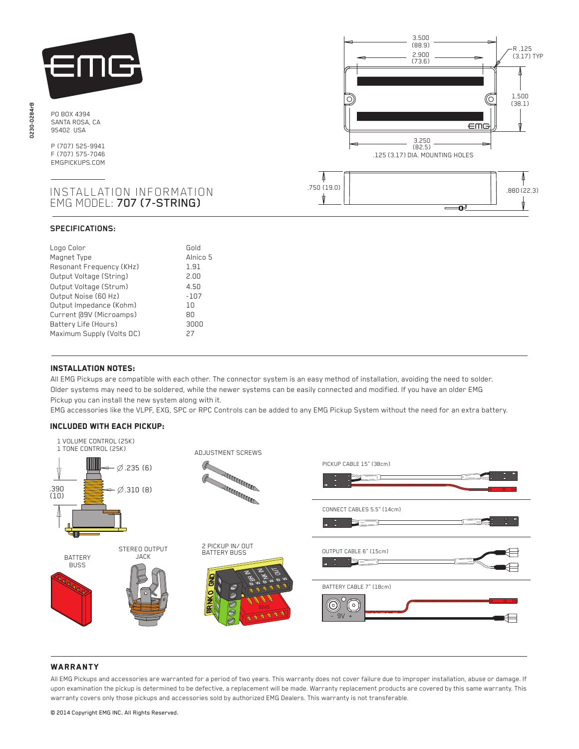

PO BOX 4394 SANTA ROSA, CA 95402 USA

P (707) 525-9941 F (707) 575-7046 EMGPICKUPS.COM

# INSTALLATION INFORMATION EMG MODEL: 707 (7-STRING)

## **SPECIFICATIONS:**

| Gold     |
|----------|
| Alnico 5 |
| 1.91     |
| 2.00     |
| 4.50     |
| $-107$   |
| 10       |
| 80       |
| 3000     |
| 27       |
|          |



# Installation notes:

j

 All EMG Pickups are compatible with each other. The connector system is an easy method of installation, avoiding the need to solder. Older systems may need to be soldered, while the newer systems can be easily connected and modified. If you have an older EMG Pickup you can install the new system along with it.

EMG accessories like the VLPF, EXG, SPC or RPC Controls can be added to any EMG Pickup System without the need for an extra battery.

### Included with each pickup:



# **WARRANTY**

All EMG Pickups and accessories are warranted for a period of two years. This warranty does not cover failure due to improper installation, abuse or damage. If upon examination the pickup is determined to be defective, a replacement will be made. Warranty replacement products are covered by this same warranty. This warranty covers only those pickups and accessories sold by authorized EMG Dealers. This warranty is not transferable.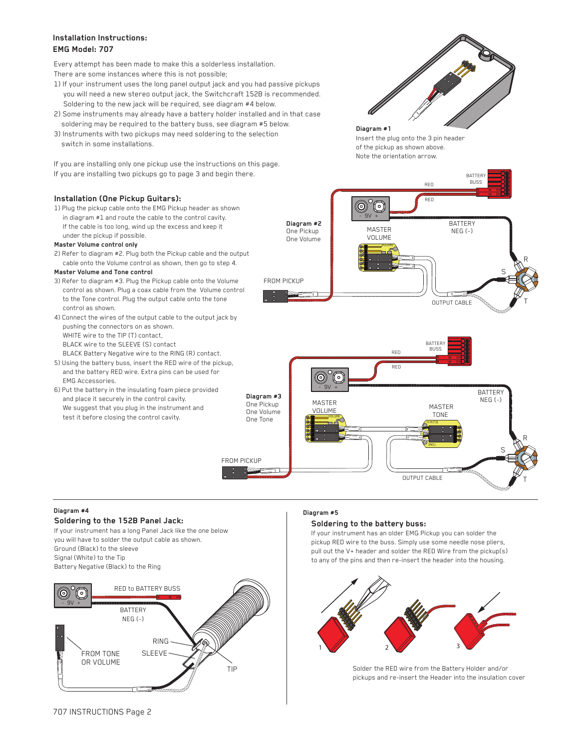# **Installation Instructions: EMG Model: 707**

Every attempt has been made to make this a solderless installation. There are some instances where this is not possible;

- 1) If your instrument uses the long panel output jack and you had passive pickups you will need a new stereo output jack, the Switchcraft 152B is recommended. Soldering to the new jack will be required, see diagram #4 below.
- 2) Some instruments may already have a battery holder installed and in that case soldering may be required to the battery buss, see diagram #5 below.
- 3) Instruments with two pickups may need soldering to the selection switch in some installations.

If you are installing only one pickup use the instructions on this page. If you are installing two pickups go to page 3 and begin there.

# **Installation (One Pickup Guitars):**

1) Plug the pickup cable onto the EMG Pickup header as shown in diagram #1 and route the cable to the control cavity. If the cable is too long, wind up the excess and keep it under the pickup if possible.

### **Master Volume control only**

2) Refer to diagram #2. Plug both the Pickup cable and the output cable onto the Volume control as shown, then go to step 4.

### **Master Volume and Tone control**

- 3) Refer to diagram #3. Plug the Pickup cable onto the Volume control as shown. Plug a coax cable from the Volume control to the Tone control. Plug the output cable onto the tone control as shown.
- 4) Connect the wires of the output cable to the output jack by pushing the connectors on as shown. WHITE wire to the TIP (T) contact, BLACK wire to the SLEEVE (S) contact BLACK Battery Negative wire to the RING (R) contact.
- 5) Using the battery buss, insert the RED wire of the pickup, and the battery RED wire. Extra pins can be used for EMG Accessories.
- 6) Put the battery in the insulating foam piece provided and place it securely in the control cavity. We suggest that you plug in the instrument and test it before closing the control cavity.



**Diagram #1** Insert the plug onto the 3 pin header of the pickup as shown above. Note the orientation arrow.





#### **Diagram #4**

# **Soldering to the 152B Panel Jack:**

If your instrument has a long Panel Jack like the one below you will have to solder the output cable as shown. Ground (Black) to the sleeve Signal (White) to the Tip Battery Negative (Black) to the Ring



#### **Diagram #5**

### **Soldering to the battery buss:**

If your instrument has an older EMG Pickup you can solder the pickup RED wire to the buss. Simply use some needle nose pliers, pull out the V+ header and solder the RED Wire from the pickup(s) to any of the pins and then re-insert the header into the housing.



Solder the RED wire from the Battery Holder and/or pickups and re-insert the Header into the insulation cover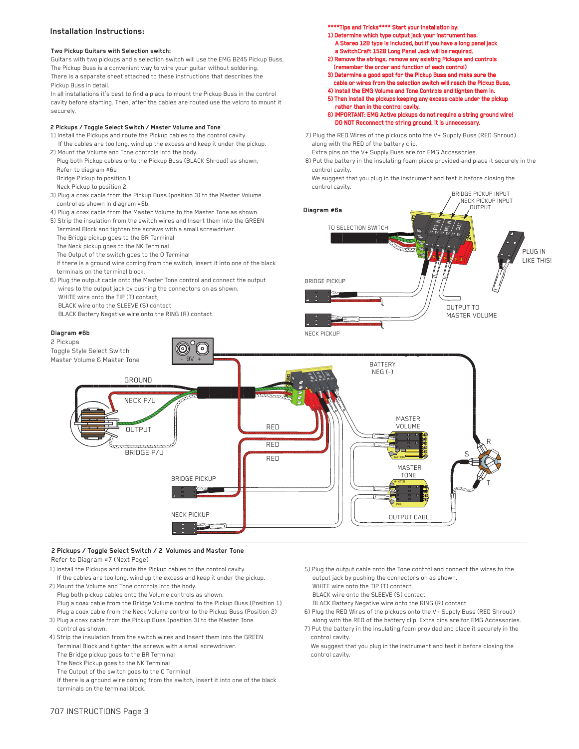## **Installation Instructions:**

#### **Two Pickup Guitars with Selection switch:**

Guitars with two pickups and a selection switch will use the EMG B245 Pickup Buss. The Pickup Buss is a convenient way to wire your guitar without soldering. There is a separate sheet attached to these instructions that describes the Pickup Buss in detail.

In all installations it's best to find a place to mount the Pickup Buss in the control cavity before starting. Then, after the cables are routed use the velcro to mount it securely.

#### **2 Pickups / Toggle Select Switch / Master Volume and Tone**

- 1) Install the Pickups and route the Pickup cables to the control cavity. If the cables are too long, wind up the excess and keep it under the pickup.
- 2) Mount the Volume and Tone controls into the body. Plug both Pickup cables onto the Pickup Buss (BLACK Shroud) as shown, Refer to diagram #6a
- Bridge Pickup to position 1 Neck Pickup to position 2.
- 3) Plug a coax cable from the Pickup Buss (position 3) to the Master Volume
- control as shown in diagram #6b.
- 4) Plug a coax cable from the Master Volume to the Master Tone as shown. 5) Strip the insulation from the switch wires and Insert them into the GREEN
- Terminal Block and tighten the screws with a small screwdriver. The Bridge pickup goes to the BR Terminal
- 
- The Neck pickup goes to the NK Terminal The Output of the switch goes to the O Terminal
- If there is a ground wire coming from the switch, insert it into one of the black terminals on the terminal block.
- 6) Plug the output cable onto the Master Tone control and connect the output wires to the output jack by pushing the connectors on as shown. WHITE wire onto the TIP (T) contact,

 $\circ$ 

- BLACK wire onto the SLEEVE (S) contact
- BLACK Battery Negative wire onto the RING (R) contact.

#### **Diagram #6b**

#### 2 Pickups

Toggle Style Select Switch Master Volume & Master Tone \*\*\*\*Tips and Tricks\*\*\*\* Start your installation by:

- 1) Determine which type output jack your instrument has. A Stereo 12B type is Included, but if you have a long panel jack a SwitchCraft 152B Long Panel Jack will be required.
- 2) Remove the strings, remove any existing Pickups and controls (remember the order and function of each control)
- 3) Determine a good spot for the Pickup Buss and make sure the
- cable or wires from the selection switch will reach the Pickup Bus 4) Install the EMG Volume and Tone Controls and tighten them in.
- 5) Then install the pickups keeping any excess cable under the pickup rather than in the control cavity.
- 6) IMPORTANT: EMG Active pickups do not require a string ground wire! DO NOT Reconnect the string ground, it is unnecessary.
- 7) Plug the RED Wires of the pickups onto the V+ Supply Buss (RED Shroud) along with the RED of the battery clip.
	- Extra pins on the V+ Supply Buss are for EMG Accessories.
- 8) Put the battery in the insulating foam piece provided and place it securely in the control cavity.

 We suggest that you plug in the instrument and test it before closing the control cavity.





#### **2 Pickups / Toggle Select Switch / 2 Volumes and Master Tone** Refer to Diagram #7 (Next Page)

- 
- 1) Install the Pickups and route the Pickup cables to the control cavity. If the cables are too long, wind up the excess and keep it under the pickup.
- 2) Mount the Volume and Tone controls into the body. Plug both pickup cables onto the Volume controls as shown. Plug a coax cable from the Bridge Volume control to the Pickup Buss (Position 1) Plug a coax cable from the Neck Volume control to the Pickup Buss (Position 2)
- 3) Plug a coax cable from the Pickup Buss (position 3) to the Master Tone control as shown.
- 4) Strip the insulation from the switch wires and Insert them into the GREEN Terminal Block and tighten the screws with a small screwdriver.
- The Bridge pickup goes to the BR Terminal
- The Neck Pickup goes to the NK Terminal
- The Output of the switch goes to the O Terminal
- If there is a ground wire coming from the switch, insert it into one of the black terminals on the terminal block.
- 5) Plug the output cable onto the Tone control and connect the wires to the output jack by pushing the connectors on as shown. WHITE wire onto the TIP (T) contact, BLACK wire onto the SLEEVE (S) contact
- BLACK Battery Negative wire onto the RING (R) contact.
- 6) Plug the RED Wires of the pickups onto the V+ Supply Buss (RED Shroud) along with the RED of the battery clip. Extra pins are for EMG Accessories.
- 7) Put the battery in the insulating foam provided and place it securely in the control cavity.
- We suggest that you plug in the instrument and test it before closing the control cavity.